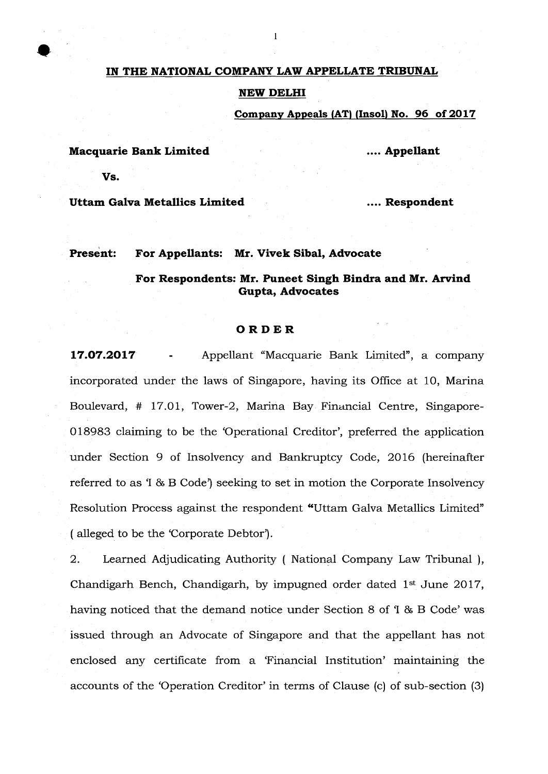#### **IN THE NATIONAL COMPANY LAW APPELLATE TRIBUNAL**

#### **NEW DELHI**

**Company Appeals (AT) (Insol) No. 96 of 2017** 

**Macquarie Bank Limited 1996 100 Macquarie Bank Limited 1996 100 Macquarie Bank Limited** 

**Vs.** 

Uttam Galva Metallics Limited **Respondent Respondent** 

**Present: For Appellants: Mr. Vivek Sibal, Advocate** 

# **For Respondents: Mr. Puneet Singh Bindra and Mr. Arvind Gupta, Advocates**

#### **ORDER**

**17.07.2017** - Appellant "Macquarie Bank Limited", a company incorporated under the laws of Singapore, having its Office at 10, Marina Boulevard, # 17.01, Tower-2, Marina Bay Financial Centre, Singapore-018983 claiming to be the 'Operational Creditor', preferred the application under Section 9 of Insolvency and Bankruptcy Code, 2016 (hereinafter referred to as 'I & B Code) seeking to set in motion the Corporate Insolvency Resolution Process against the respondent "Uttam Galva Metallics Limited" (alleged to be the 'Corporate Debtor').

2. Learned Adjudicating Authority ( National Company Law Tribunal), Chandigarh Bench, Chandigarh, by impugned order dated 1st June 2017, having noticed that the demand notice under Section 8 of 1 & B Code' was issued through an Advocate of Singapore and that the appellant has not enclosed any certificate from a 'Financial Institution' maintaining the accounts of the 'Operation Creditor' in terms of Clause (c) of sub-section (3)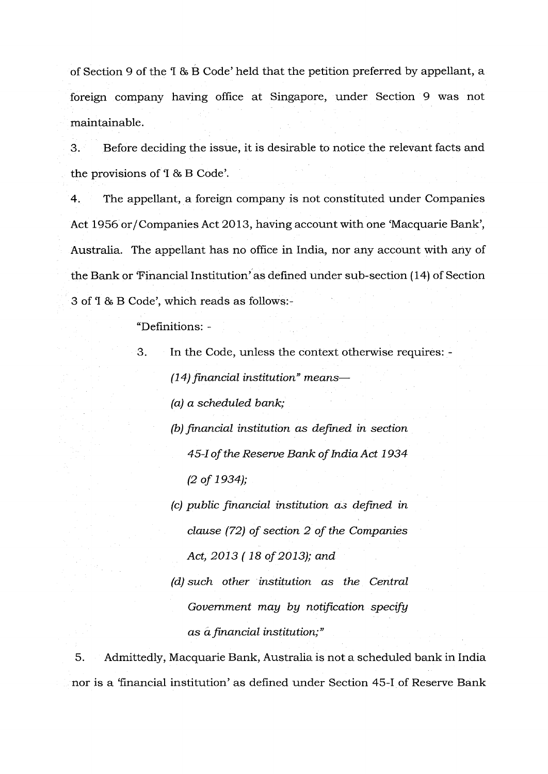of Section 9 of the 'I & B Code' held that the petition preferred by appellant, a foreign company having office at Singapore, under Section 9 was not maintainable

3. Before deciding the issue, it is desirable to notice the relevant facts and the provisions of '1 & B Code'.

4. The appellant, a foreign company is not constituted under Companies Act 1956 or/ Companies Act 2013, having account with one 'Macquarie Bank', Australia. The appellant has no office in India, nor any account with any of the Bank or 'Financial Institution' as defined under sub-section (14) of Section 3 of 'I & B Code', which reads as follows:-

"Definitions: -

3. In the Code, unless the context otherwise requires: - *(14) financial institution" means— (a) a scheduled bank;* 

> *(b) financial institution as defined in section 45-I of the Reserve Bank of India Act 1934 (2 of 1934);*

> *(c) public financial institution as defined in clause (72) of section 2 of the Companies Act, 2013 (18 of 2013); and*

> *(d) such other institution as the Central Government may by notification specify as àfinancial institution;"*

5. Admittedly, Macquarie Bank, Australia is not a scheduled bank in India nor is a 'financial institution' as defined under Section 45-I of Reserve Bank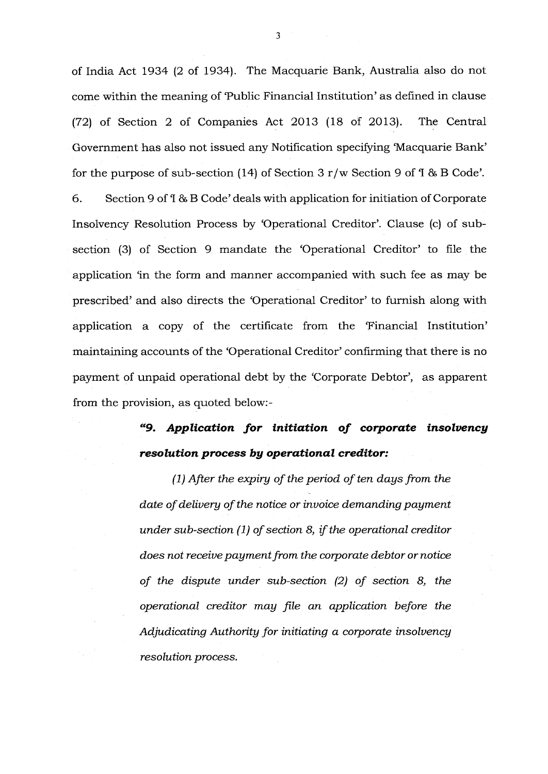of India Act 1934 (2 of 1934). The Macquarie Bank, Australia also do not come within the meaning of 'Public Financial Institution' as defined in clause (72) of Section 2 of Companies Act 2013 (18 of 2013). The Central Government has also not issued any Notification specifying 'Macquarie Bank' for the purpose of sub-section (14) of Section  $3 r/w$  Section 9 of  $1 \& B \text{ Code}$ .

6. Section 9 of 'I & B Code' deals with application for initiation of Corporate Insolvency Resolution Process by 'Operational Creditor'. Clause (c) of subsection (3) of Section 9 mandate the 'Operational Creditor' to file the application 'in the form and manner accompanied with such fee as may be prescribed' and also directs the 'Operational Creditor' to furnish along with application a copy of the certificate from the 'Financial Institution' maintaining accounts of the 'Operational Creditor' confirming that there is no payment of unpaid operational debt by the 'Corporate Debtor', as apparent from the provision, as quoted below:-

# *"9. Application for initiation of corporate insolvency resolution process by operational creditor.- reditor:*

*(1) After the expiry of the period of ten days from the date of delivery of the notice or invoice demanding payment under sub-section (1) of section 8, if the operational creditor does not receive payment from the corporate debtor or notice of the dispute under sub-section (2) of section 8, the operational creditor may file an application before the Adjudicating Authority for initiating a corporate insolvency resolution process.*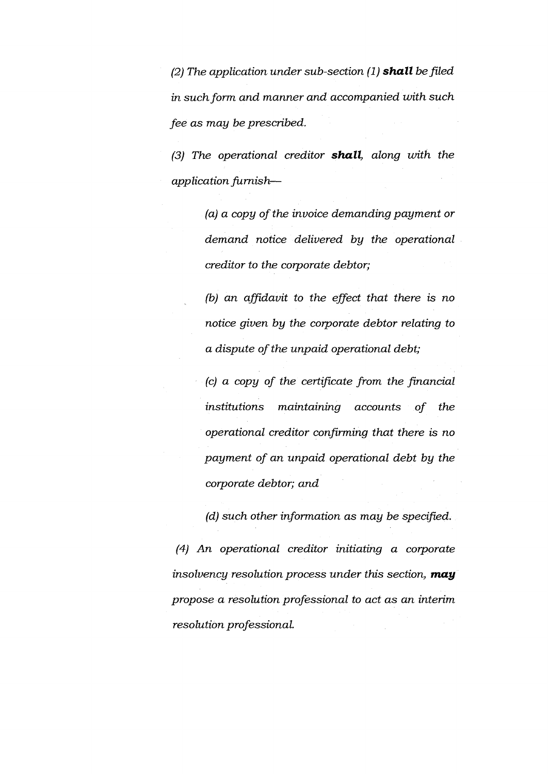*(2) The application under sub-section (1) shall be filed in such form and manner and accompanied with such fee as may be prescribed.* 

*(3) The operational creditor shall, along with the application furnish—* 

> *(a) a copy of the invoice demanding payment or demand notice delivered by the operational creditor to the corporate debtor;*

> *(b) an affidavit to the effect that there is no notice given by the corporate debtor relating to a dispute of the unpaid operational debt;*

> *(c) a copy of the certificate from the financial institutions maintaining accounts of the operational creditor confirming that there is no payment of an unpaid operational debt by the corporate debtor; and*

*(d) such other information as may be specified.* 

*(4) An operational creditor initiating a corporate insolvency resolution process under this section, may propose a resolution professional to act as an interim resolution professional.*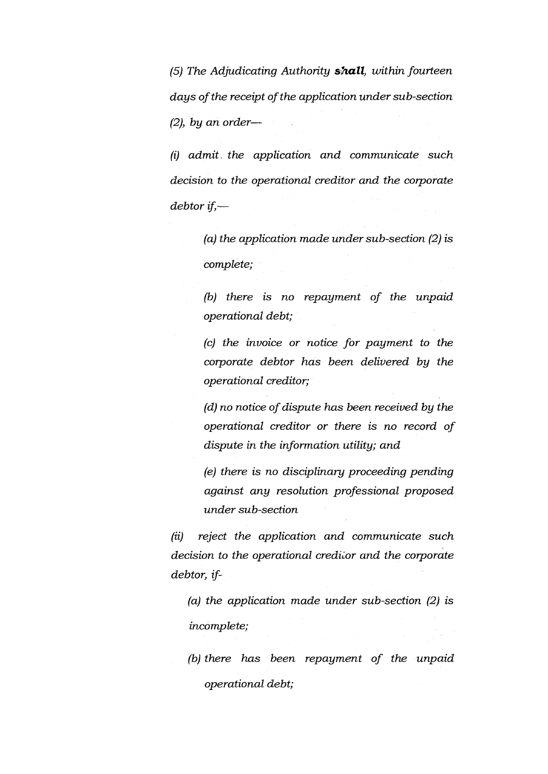*(5) The Adjudicating Authority shall, within fourteen days of the receipt of the application under sub-section (2), by an order—* 

*(i) admit. the application and communicate such decision to the operational creditor and the corporate debtor if—* 

> *(a) the application made under sub-section (2) is complete;*

> *(b) there is no repayment of the unpaid operational debt;*

> *(c) the invoice or notice for payment to the corporate debtor has been delivered by the operational creditor;*

> *(d) no notice of dispute has been received by the operational creditor or there is no record of dispute in the information utility; and*

> *(e) there is no disciplinary proceeding pending against any resolution professional proposed under sub-section*

*(ii) reject the application and communicate such*  decision to the operational creditor and the corporate *debtor, if* -

*(a) the application made under sub-section (2) is incomplete;* 

*(b) there has been repayment of the unpaid operational debt;*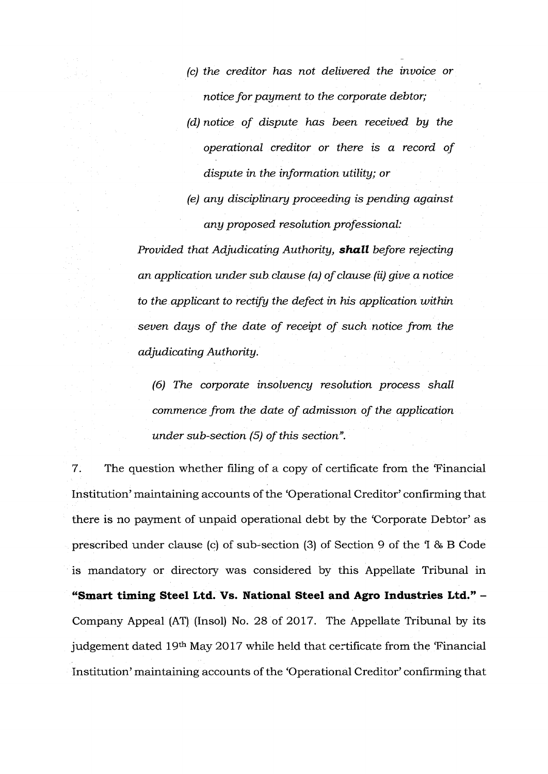*(c) the creditor has not delivered the invoice or notice for payment to the corporate debtor; (d) notice of dispute has been received by the operational creditor or there is a record of dispute in the information utility; or* 

*(e) any disciplinary proceeding is pending against any proposed resolution professional:* 

*Provided that Adjudicating Authority, shall before rejecting an application under sub. clause (a) of clause (ii) give a notice to the applicant to rectify the defect in his application within seven days of the date of receipt of such notice from the adjudicating Authority.* 

*(6) The corporate insolvency resolution process shall commence from the date of admission of the application under sub-section (5) of this section".* 

7. The question whether filing of a copy of certificate from the 'Financial' Institution' maintaining accounts of the 'Operational Creditor' confirming that there is no payment of unpaid operational debt by the 'Corporate Debtor' as prescribed under clause (c) of sub-section (3) of Section 9 of the 1 & B Code is mandatory or directory was considered by this Appellate Tribunal in **"Smart timing Steel Ltd. Vs. National Steel and Agro Industries Ltd." -**  Company Appeal (AT) (Insol) No. 28 of 2017. The Appellate Tribunal by its judgement dated 19<sup>th</sup> May 2017 while held that certificate from the 'Financial' Institution' maintaining accounts of the 'Operational Creditor' confirming that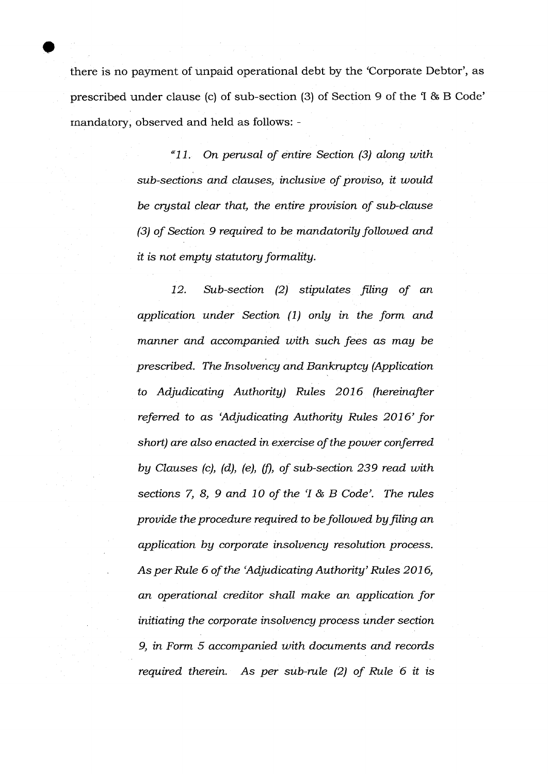there is no payment of unpaid operational debt by the 'Corporate Debtor', as prescribed under clause (c) of sub-section (3) of Section 9 of the 'I & B Code' mandatory, observed and held as follows: -

> *"11. On perusal of entire Section (3) along with sub-sections and clauses, inclusive of proviso, it would be crystal clear that, the entire provision of sub-clause (3) of Section 9 required to be mandatorily followed and it is not empty statutory formality.*

> *12. Sub-section (2) stipulates filing of an application under Section (1) only in the form and manner and accompanied with such fees as may be prescribed. The Insolvency and Bankruptcy (Application to Adjudicating Authority) Rules 2016 (hereinafter referred to as 'Adjudicating Authority Rules 2016' for short) are also enacted in exercise of the power conferred by Clauses (c), (d), (e), (D of sub-section 239 read with sections 7, 8, 9 and 10 of the 'I & B Code'. The rules provide the procedure required to be followed by filing an application by corporate insolvency resolution process. As per Rule 6 of the 'Adjudicating Authority' Rules 2016, an operational creditor shall make an application for initiating the corporate insolvency process under section 9, in Form 5 accompanied with documents and records required therein. As per sub-rule (2) of Rule 6 it is*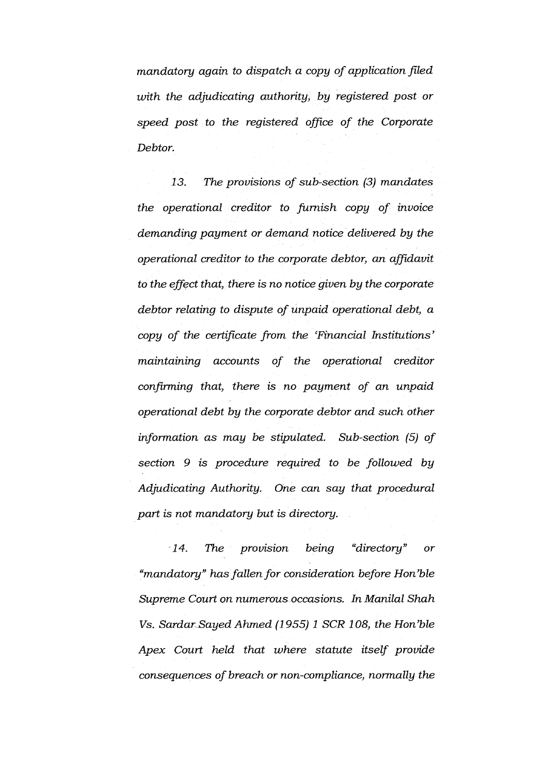*mandatory again to dispatch a copy of application filed with the adjudicating authority, by registered post or speed post to the registered office of the Corporate Debtor.* 

*13. The provisions of sub-section (3) mandates the operational creditor to furnish copy of invoice demanding payment or demand notice delivered by the operational creditor to the corporate debtor, an affidavit to the effect that, there is no notice given by the corporate debtor relating to dispute of unpaid operational debt, a copy of the certificate from the 'Financial Institutions' maintaining accounts of the operational creditor confirming that, there is no payment of an unpaid operational debt by the corporate debtor and such other information as may be stipulated. Sub-section (5) of section 9 is procedure required to be followed by Adjudicating Authority. One can say that procedural part is not mandatory but is directory.* 

*14. The provision being "directory" or "mandatory" has fallen for consideration before Hon 'ble Supreme Court on numerous occasions. In Manilal Shah Vs. SardarSayed Ahmed (1955) 1 SCR 108, the Hon'ble Apex Court held that where statute itself provide consequences of breach or non-compliance, normally the*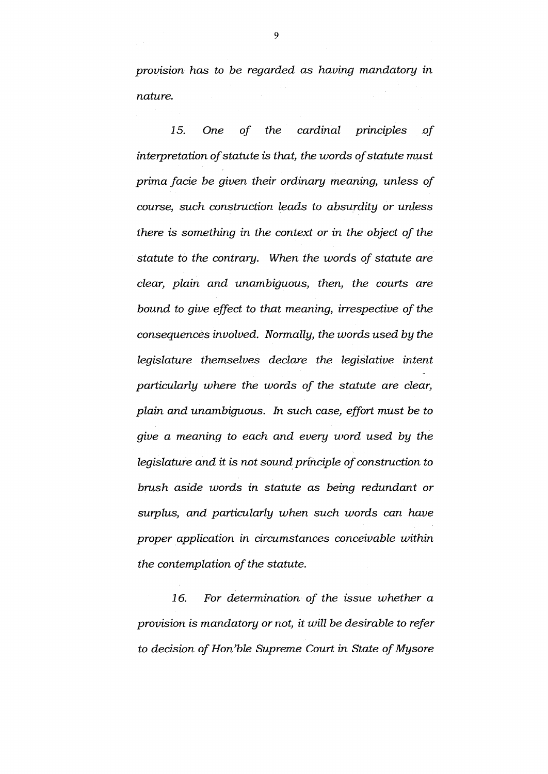*provision has to be regarded as having mandatory in nature.* 

*15. One of the cardinal principles of interpretation of statute is that, the words of statute must prima facie be given their ordinary meaning, unless of course, such construction leads to absurdity or unless there is something in the context or in the object of the statute to the contrary. When the words of statute are clear, plain and unambiguous, then, the courts are bound to give effect to that meaning, irrespective of the consequences involved. Normally, the words used by the legislature themselves declare the legislative intent particularly where the words of the statute are clear, plain and unambiguous. In such case, effort must be to give a meaning to each and every word used by the legislature and it is not sound principle of construction to brush aside words in statute as being redundant or surplus, and particularly when such words can have proper application in circumstances conceivable within the contemplation of the statute.* 

*16. For determination of the issue whether a provision is mandatory or not, it will be desirable to refer to decision of Hon'ble Supreme Court in State of Mysore* 

9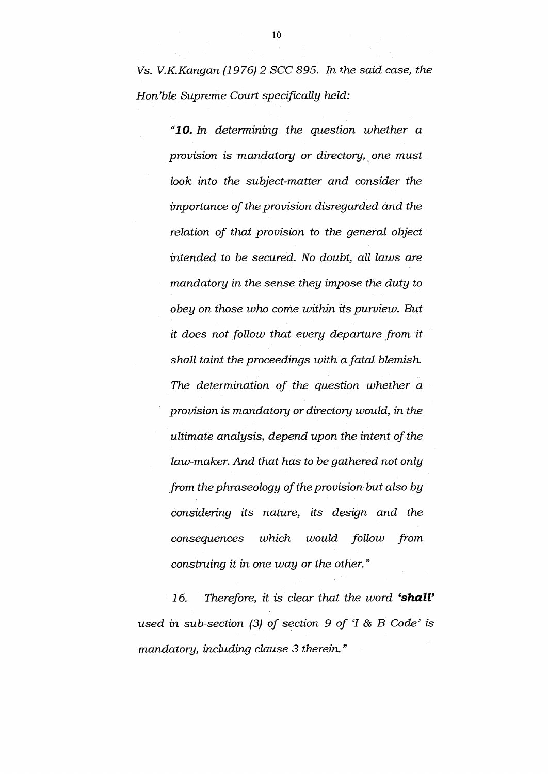Vs. V.K.Kangan (1976)2 SCC 895. In the said case, the Hon'ble Supreme Court specifically held:

> **"10.** In determining the question whether a provision is mandatory or directory, one must look into the subject-matter and consider the importance of the provision disregarded and the relation of that provision to the general object intended to be secured. No doubt, all laws are mandatory in the sense they impose the duty to obey on those who come within its purview. But it does not follow that every departure from it shall taint the proceedings with a fatal blemish. The determination of the question whether a provision is mandatory or directory would, in the ultimate analysis, depend upon the intent of the law-maker. And that has to be gathered not only from the phraseology of the provision but also by considering its nature, its design and the consequences which would follow from construing it in one way or the other."

16. Therefore, it is clear that the word **'shall'**  used in sub-section  $(3)$  of section 9 of 'I & B Code' is mandatory, including clause 3 therein."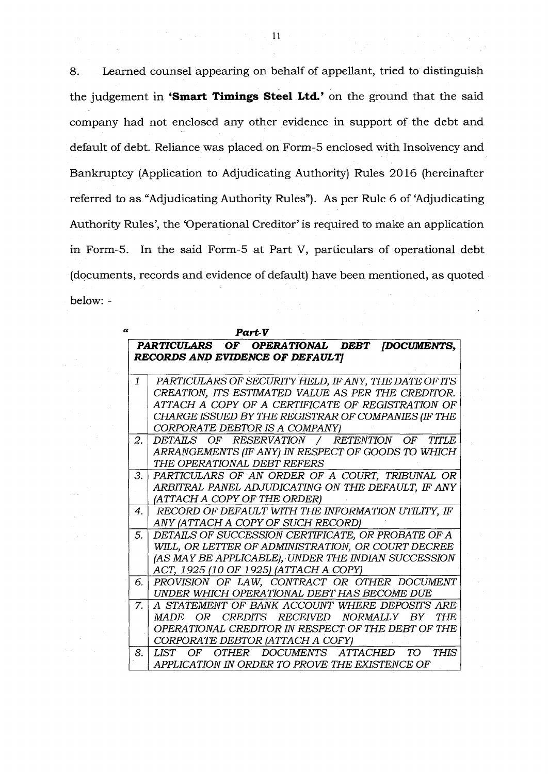8. Learned counsel appearing on behalf of appellant, tried to distinguish the judgement in **'Smart Timings Steel Ltd.'** on the ground that the said company had not enclosed any other evidence in support of the debt and default of debt. Reliance was placed on Form-5 enclosed with Insolvency and Bankruptcy (Application to Adjudicating Authority) Rules 2016 (hereinafter referred to as "Adjudicating Authority Rules"). As per Rule 6 of 'Adjudicating Authority Rules', the 'Operational Creditor' is required to make an application in Form-5. In the said Form-5 at Part V, particulars of operational debt (documents, records and evidence of default) have been mentioned, as quoted below: -

 $\epsilon$ 

| Part-V                          |                                                       |  |
|---------------------------------|-------------------------------------------------------|--|
|                                 | PARTICULARS OF OPERATIONAL DEBT [DOCUMENTS,           |  |
| RECORDS AND EVIDENCE OF DEFAULT |                                                       |  |
|                                 |                                                       |  |
| $\mathbf{1}$                    | PARTICULARS OF SECURITY HELD, IF ANY, THE DATE OF ITS |  |
|                                 | CREATION, ITS ESTIMATED VALUE AS PER THE CREDITOR.    |  |
|                                 | ATTACH A COPY OF A CERTIFICATE OF REGISTRATION OF     |  |
|                                 | CHARGE ISSUED BY THE REGISTRAR OF COMPANIES (IF THE   |  |
|                                 | CORPORATE DEBTOR IS A COMPANY)                        |  |
| 2. I                            | DETAILS OF RESERVATION / RETENTION OF TITLE           |  |
|                                 | ARRANGEMENTS (IF ANY) IN RESPECT OF GOODS TO WHICH    |  |
|                                 | THE OPERATIONAL DEBT REFERS                           |  |
| 3. l                            | PARTICULARS OF AN ORDER OF A COURT, TRIBUNAL OR       |  |
|                                 | ARBITRAL PANEL ADJUDICATING ON THE DEFAULT, IF ANY    |  |
|                                 | (ATTACH A COPY OF THE ORDER)                          |  |
| 4 <sup>1</sup>                  | RECORD OF DEFAULT WITH THE INFORMATION UTILITY, IF    |  |
|                                 | ANY (ATTACH A COPY OF SUCH RECORD)                    |  |
| 5.                              | DETAILS OF SUCCESSION CERTIFICATE, OR PROBATE OF A    |  |
|                                 | WILL, OR LETTER OF ADMINISTRATION, OR COURT DECREE    |  |
|                                 | (AS MAY BE APPLICABLE), UNDER THE INDIAN SUCCESSION   |  |
|                                 | ACT, 1925 (10 OF 1925) (ATTACH A COPY)                |  |
| б.                              | PROVISION OF LAW, CONTRACT OR OTHER DOCUMENT          |  |
|                                 | UNDER WHICH OPERATIONAL DEBT HAS BECOME DUE           |  |
| 7 <sup>1</sup>                  | A STATEMENT OF BANK ACCOUNT WHERE DEPOSITS ARE        |  |
|                                 | MADE OR CREDITS RECEIVED NORMALLY BY<br>THE           |  |
|                                 | OPERATIONAL CREDITOR IN RESPECT OF THE DEBT OF THE    |  |
|                                 | CORPORATE DEBTOR (ATTACH A COFY)                      |  |
| 8.                              | OTHER DOCUMENTS ATTACHED TO<br>THIS<br>LIST OF        |  |
|                                 | APPLICATION IN ORDER TO PROVE THE EXISTENCE OF        |  |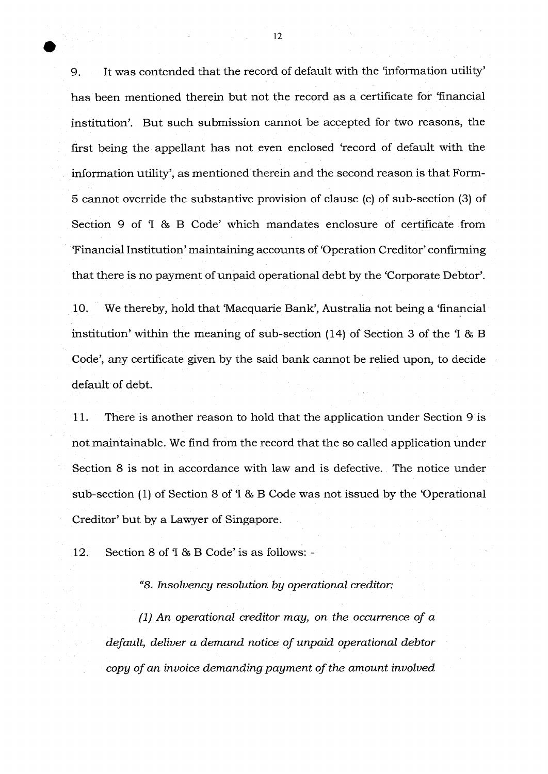9. It was contended that the record of default with the 'information utility' has been mentioned therein but not the record as a certificate for 'financial institution'. But such submission cannot be accepted for two reasons, the first being the appellant has not even enclosed 'record of default with the information utility', as mentioned therein and the second reason is that Form-*5* cannot override the substantive provision of clause (c) of sub-section (3) of Section 9 of 'I & B Code' which mandates enclosure of certificate from 'Financial Institution' maintaining accounts of 'Operation Creditor' confirming that there is no payment of unpaid operational debt by the 'Corporate Debtor'.

10. We thereby, hold that 'Macquarie Bank', Australia not being a 'financial institution' within the meaning of sub-section (14) of Section 3 of the 'I & B Code', any certificate given by the said bank cannot be relied upon, to decide default of debt.

11. There is another reason to hold that the application under Section 9 is not maintainable. We find from the record that the so called application under Section 8 is not in accordance with law and is defective. The notice under sub-section (1) of Section 8 of 'I & B Code was not issued by the 'Operational Creditor' but by a Lawyer of Singapore.

12. Section 8 of 'I & B Code' is as follows: -

*"8. Insolvency resolution by operational creditor:* 

*(1) An operational creditor may, on the occurrence of a default, deliver a demand notice of unpaid operational debtor copy of an invoice demanding payment of the amount involved*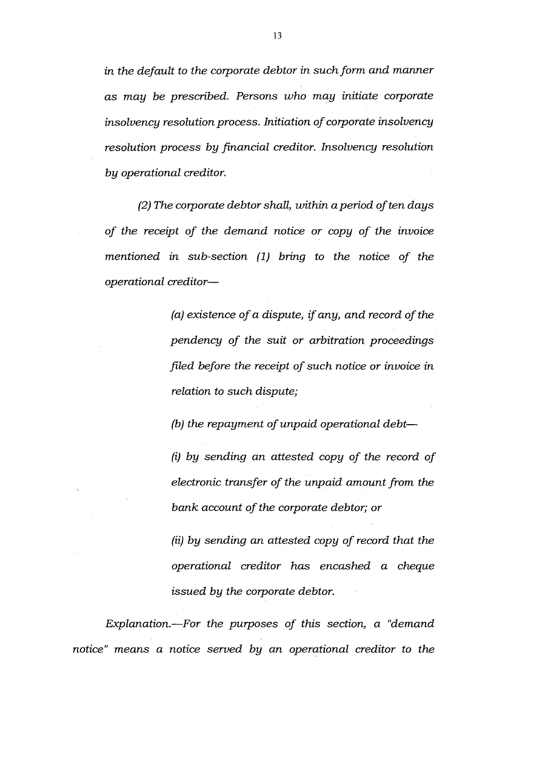*in the default to the corporate debtor in such form and manner as may be prescribed. Persons who may initiate corporate insolvency resolution process. Initiation of corporate insolvency resolution process by financial creditor. Insolvency resolution by operational creditor.* 

*(2) The corporate debtor shall, within a period often days of the receipt of the demand notice or copy of the invoice mentioned in sub-section (1) bring to the notice of the operational creditor—* 

> *(a) existence of a dispute, if any, and record of the pendency of the suit or arbitration proceedings filed before the receipt of such notice or invoice in relation to such dispute;*

*(b) the repayment of unpaid operational debt—* 

*(i) by sending an attested copy of the record of electronic transfer of the unpaid amount from the bank account of the corporate debtor; or* 

*(ii) by sending an attested copy of record that the operational creditor has encashed a cheque issued by the corporate debtor.* 

*Explanation.—For the purposes of this section, a "demand notice" means a notice served by an operational creditor to the*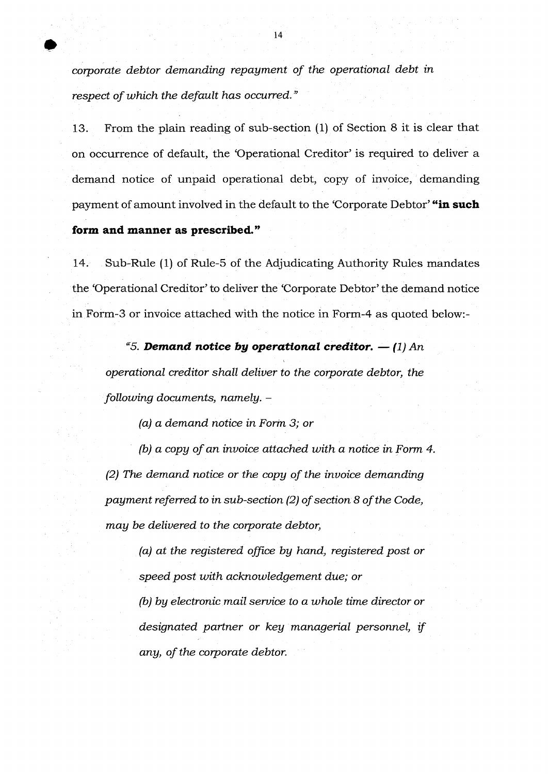*corporate debtor demanding repayment of the operational debt in respect of which the default has occurred"* 

13. From the plain reading of sub-section (1) of Section 8 it is clear that on occurrence of default, the 'Operational Creditor' is required to deliver a demand notice of unpaid operational debt, copy of invoice, demanding payment of amount involved in the default to the 'Corporate Debtor' **"in such** 

## **form and manner as prescribed."**

14. Sub-Rule (1) of Rule-5 of the Adjudicating Authority Rules mandates the 'Operational Creditor' to deliver the 'Corporate Debtor' the demand notice in Form-3 or invoice attached with the notice in Form-4 as quoted below:-

*"5. Demand notice by operational creditor.*  $- (1)$  *An operational creditor shall deliver to the corporate debtor, the following documents, namely. -* 

*(a) a demand notice in Form 3; or* 

*(b) a copy of an invoice attached with a notice in Form 4 (2) The demand notice or the copy of the invoice demanding payment referred to in sub-section (2) of section 8 of the Code, may be delivered to the corporate debtor,* 

> *(a) at the registered office by hand, registered post or speed post with acknowledgement due; or (b) by electronic mail service to a whole time director or designated partner or key managerial personnel, if any, of the corporate debtor.*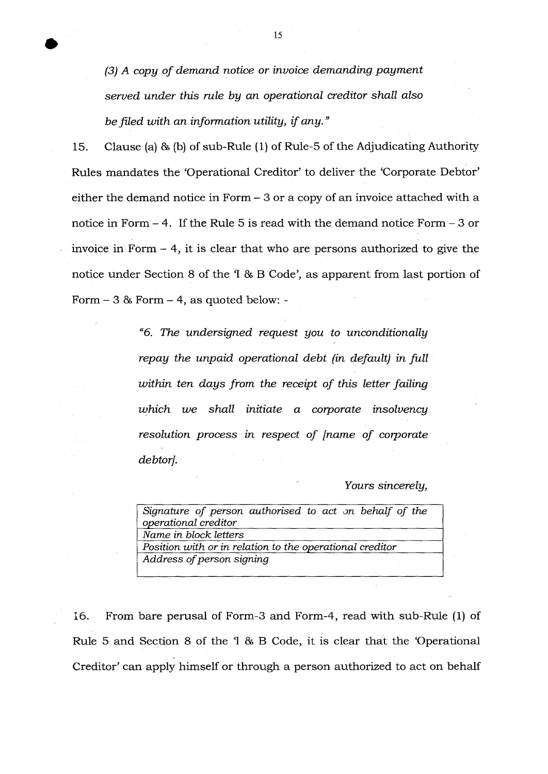*(3) A copy of demand notice or invoice demanding payment served under this rule by an operational creditor shall also be filed with an information utility, if any."* 

15. Clause (a) & (b) of sub-Rule (1) of Rule-5 of the Adjudicating Authority Rules mandates the 'Operational Creditor' to deliver the 'Corporate Debtor' either the demand notice in Form - 3 or a copy of an invoice attached with a notice in Form - 4. If the Rule 5 is read with the demand notice Form - 3 or invoice in Form - 4, it is clear that who are persons authorized to give the notice under Section 8 of the 'I & B Code', as apparent from last portion of Form - 3 & Form - 4, as quoted below: -

> *"6. The undersigned request you to unconditionally repay the unpaid operational debt (in default) in full within ten days from the receipt of this letter failing which we shall initiate a corporate insolvency resolution process in respect of [name of corporate debtor].*

## *Yours sincerely,*

| Signature of person authorised to act on behalf of the   |  |
|----------------------------------------------------------|--|
| operational creditor                                     |  |
| Name in block letters                                    |  |
| Position with or in relation to the operational creditor |  |
| Address of person signing                                |  |

16. From bare perusal of Form-3 and Form-4, read with sub-Rule (1) of Rule 5 and Section 8 of the 'I & B Code, it is clear that the 'Operational Creditor' can apply himself or through a person authorized to act on behalf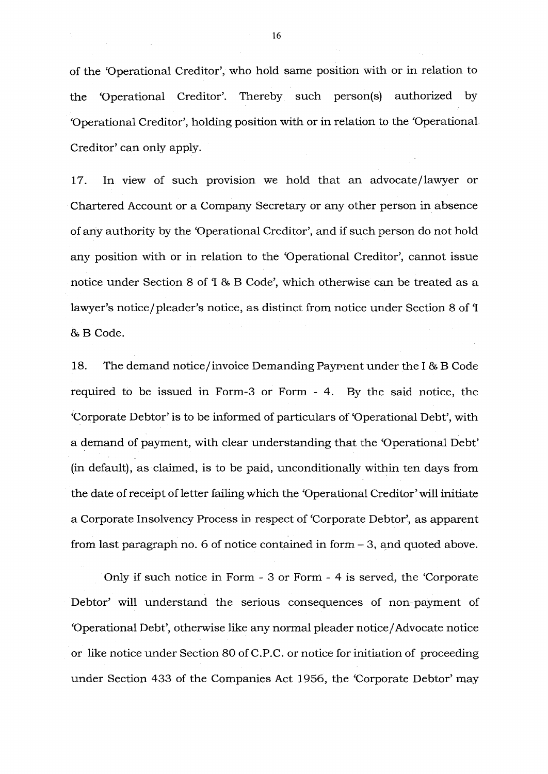of the 'Operational Creditor', who hold same position with or in relation to the 'Operational Creditor'. Thereby such person(s) authorized by 'Operational Creditor', holding position with or in relation to the 'Operational. Creditor' can only apply.

17. In view of such provision we hold that an advocate/lawyer or Chartered Account or a Company Secretary or any other person in absence of any authority by the 'Operational Creditor', and if such person do not hold any position with or in relation to the 'Operational Creditor', cannot issue notice under Section 8 of 1 & B Code', which otherwise can be treated as a lawyer's notice/ pleader's notice, as distinct from notice under Section 8 of 'I & B Code.

18. The demand notice/ invoice Demanding Payment under the I& B Code required to be issued in Form-3 or Form - 4. By the said notice, the 'Corporate Debtor' is to be informed of particulars of 'Operational Debt', with a demand of payment, with clear understanding that the 'Operational Debt' (in default), as claimed, is to be paid, unconditionally within ten days from the date of receipt of letter failing which the 'Operational Creditor' will initiate a Corporate Insolvency Process in respect of 'Corporate Debtor', as apparent from last paragraph no. 6 of notice contained in form - 3, and quoted above.

Only if such notice in Form - 3 or Form - 4 is served, the 'Corporate Debtor' will understand the serious consequences of non-payment of 'Operational Debt', otherwise like any normal pleader notice/Advocate notice or like notice under Section 80 of C.P.C. or notice for initiation of proceeding under Section 433 of the Companies Act 1956, the 'Corporate Debtor' may

16